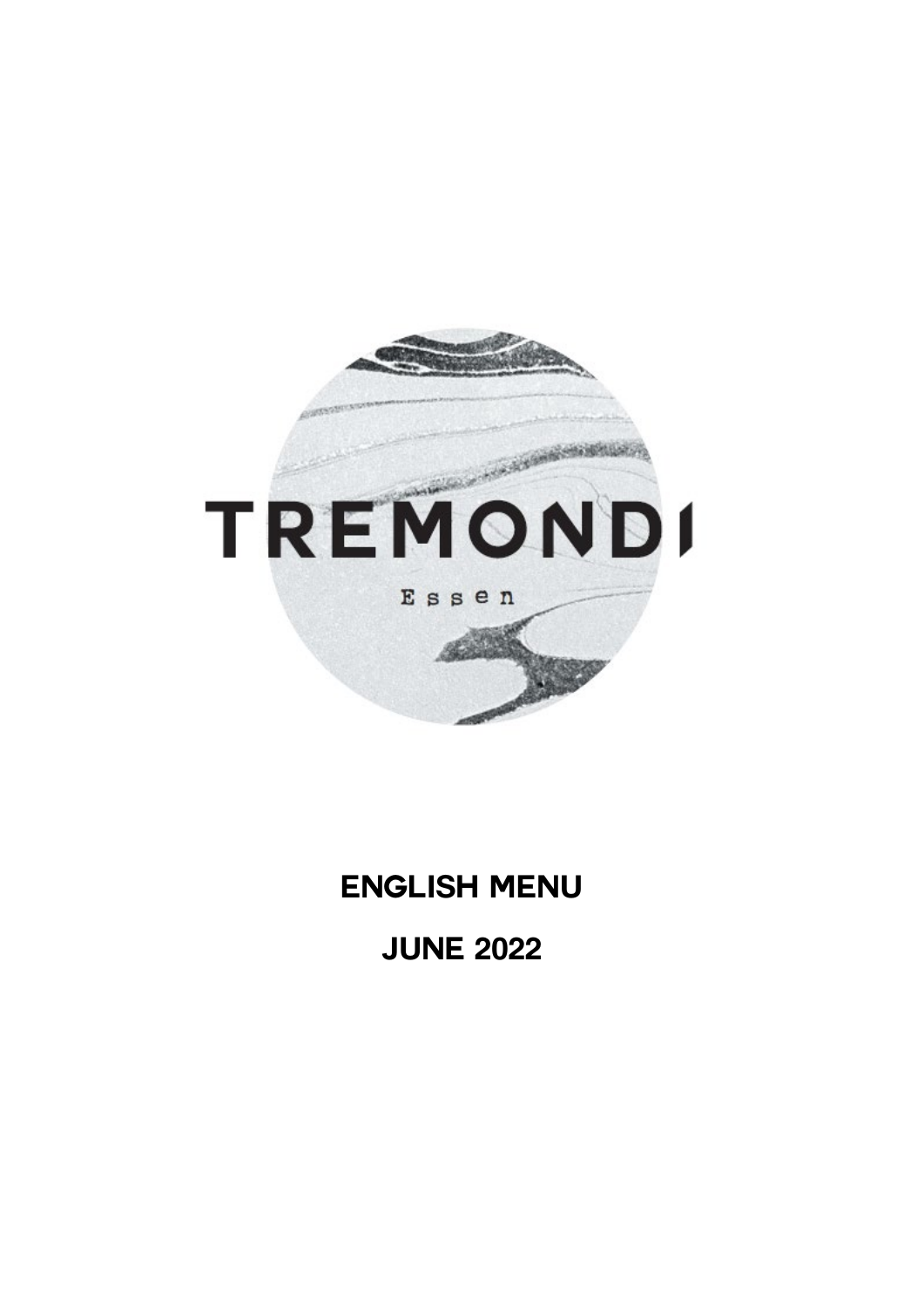

# **ENGLISH MENU**

# **JUNE 2022**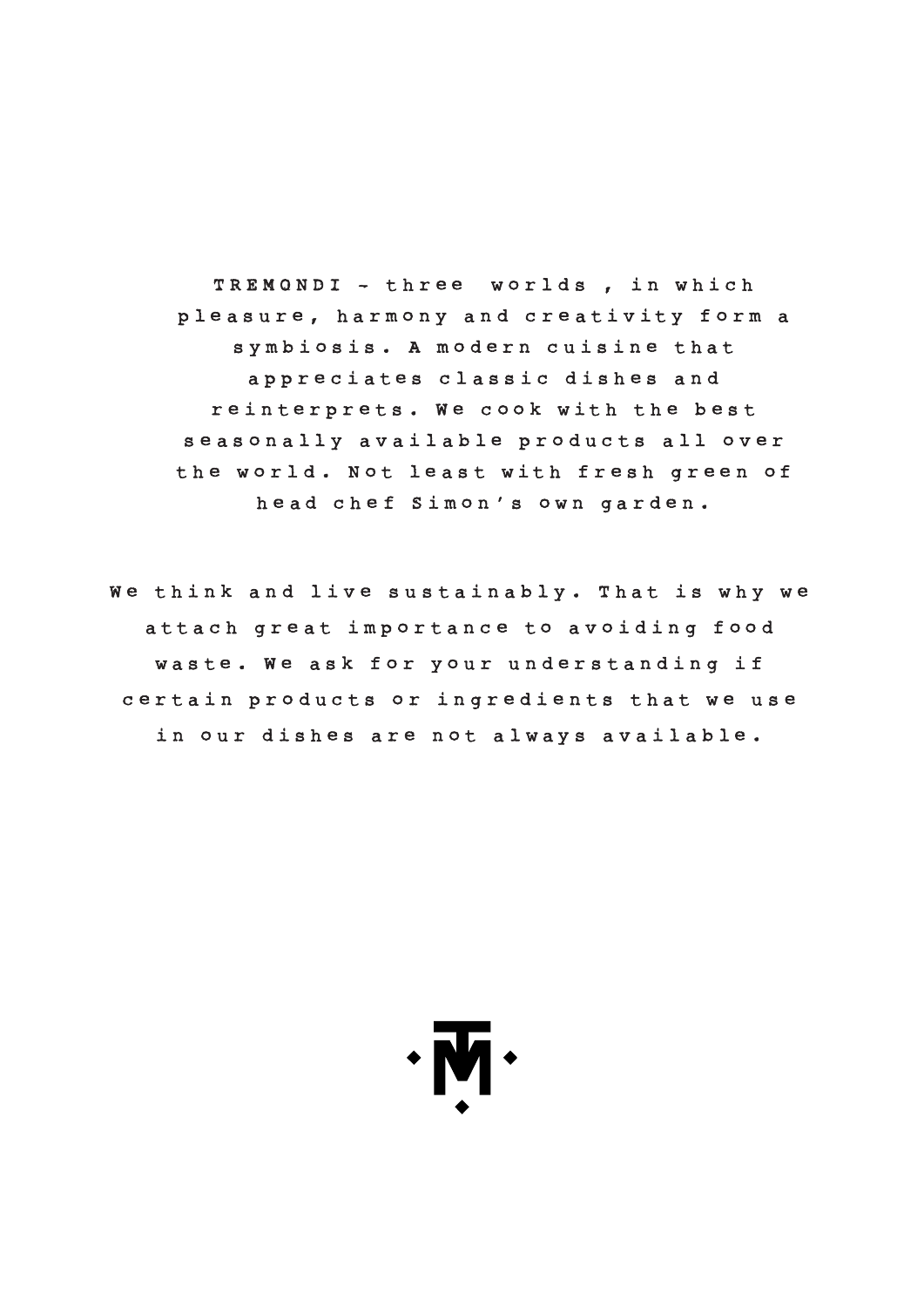TREMONDI - three worlds , in which pleasure, harmony and creativity form a symbiosis. A modern cuisine that appreciates classic dishes and reinterprets. We cook with the best seasonally available products all over the world. Not least with fresh green of head chef Simon's own garden.

We think and live sustainably. That is why we attach great importance to avoiding food waste. We ask for your understanding if certain products or ingredients that we use in our dishes are not always available.

 $\cdot \overline{M} \cdot$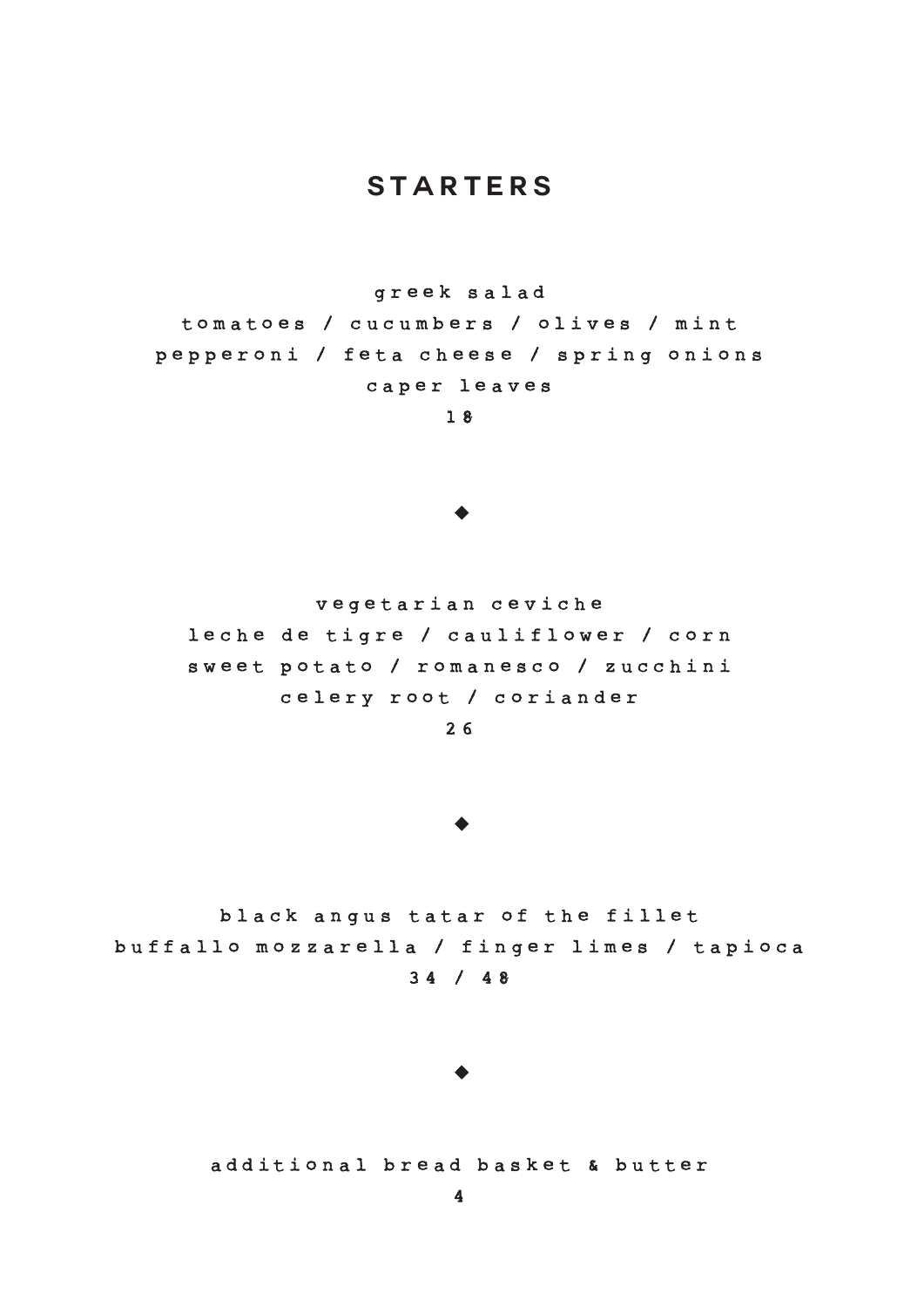# **starters**

greek salad

tomatoes / cucumbers / olives / mint pepperoni / feta cheese / spring onions caper leaves

1 8

#### $\blacktriangleright$

v egetarian ceviche leche de tigre / cauliflower / corn sweet potato / romanesco / zucchini celery root / coriander

2 6

#### $\blacktriangleright$

black angus tatar of the fillet buffallo mozzarella / finger limes / tapioca 3 4 / 48

#### $\blacktriangleright$

additional bread basket & butter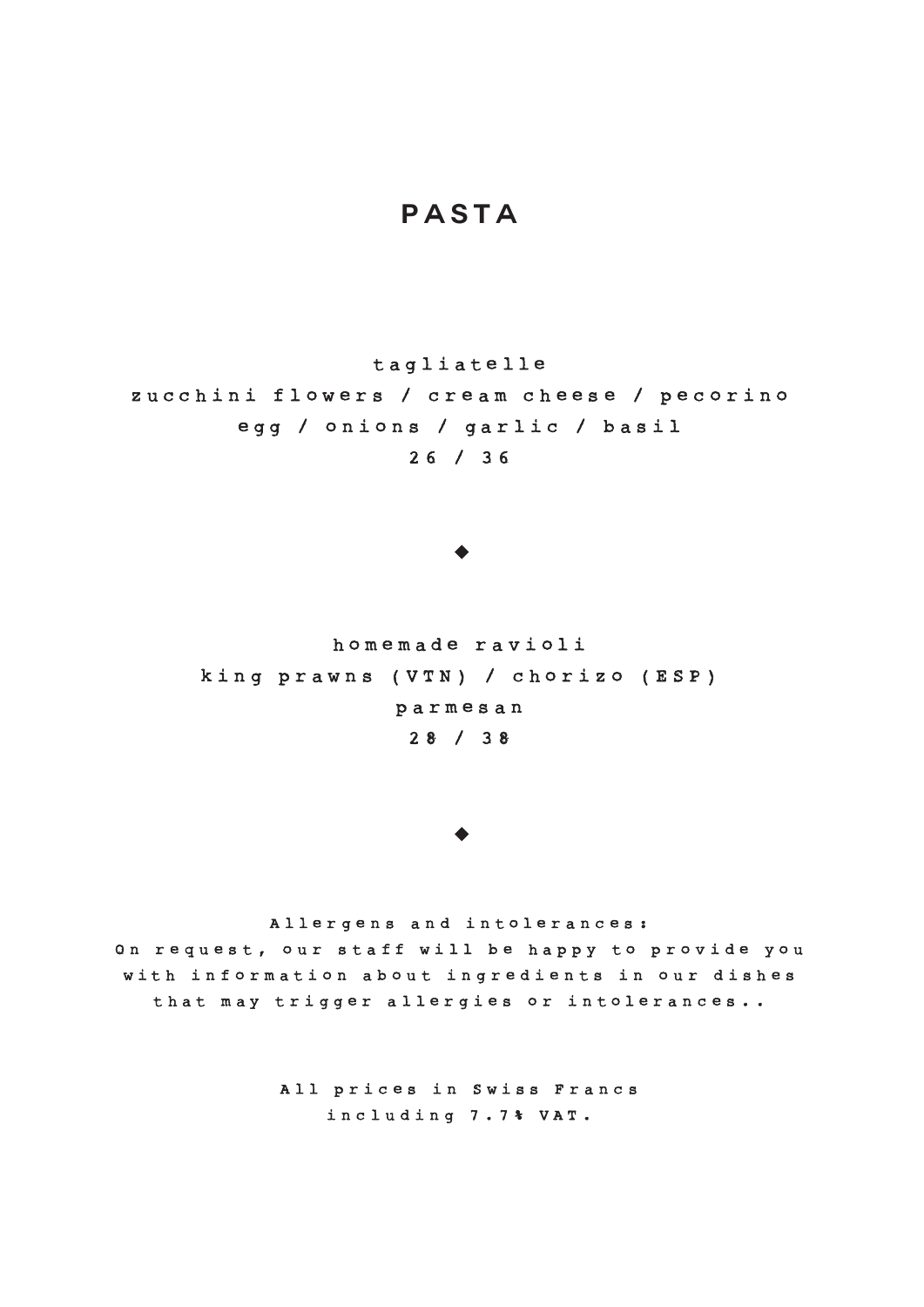## **pasta**

tag liatelle

zucchini flowers / cream cheese / pecorino egg / onions / garlic / basil 2 6 / 3 6

#### $\blacktriangleright$

homemade r avioli king prawns (VTN) / chorizo (ESP) p armesan 2 8 / 3 8

#### $\blacktriangleright$

Allergens and intolerances :

On request, our staff will be happy to provide you with information about ingredients in our dishes that may trigger allergies or intolerances. .

> All prices in Swiss Francs including 7.7% VAT.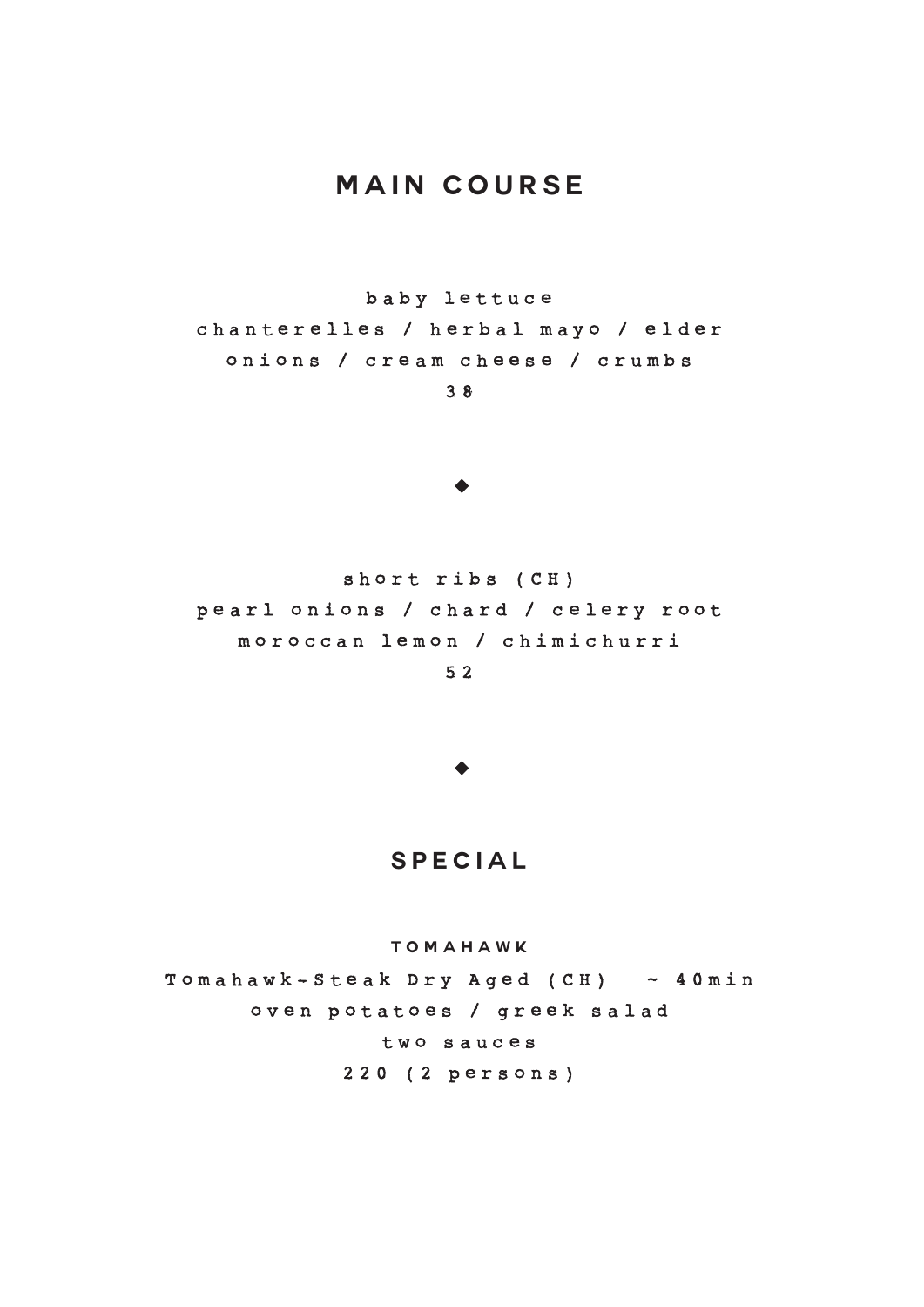# **Main course**

b aby lettuce chanter e l les / herbal mayo / elder onions / cream cheese / crumbs

3 8

#### $\blacktriangleright$

short ribs (CH) pearl onions / chard / celery root moroccan lemon / chimichurri 5 2

 $\blacktriangle$ 

### **special**

**TOMAHAWK**

Tomahawk - Steak Dry Aged (CH) ~ 40min oven potatoes / greek salad two sauces 220 (2 persons )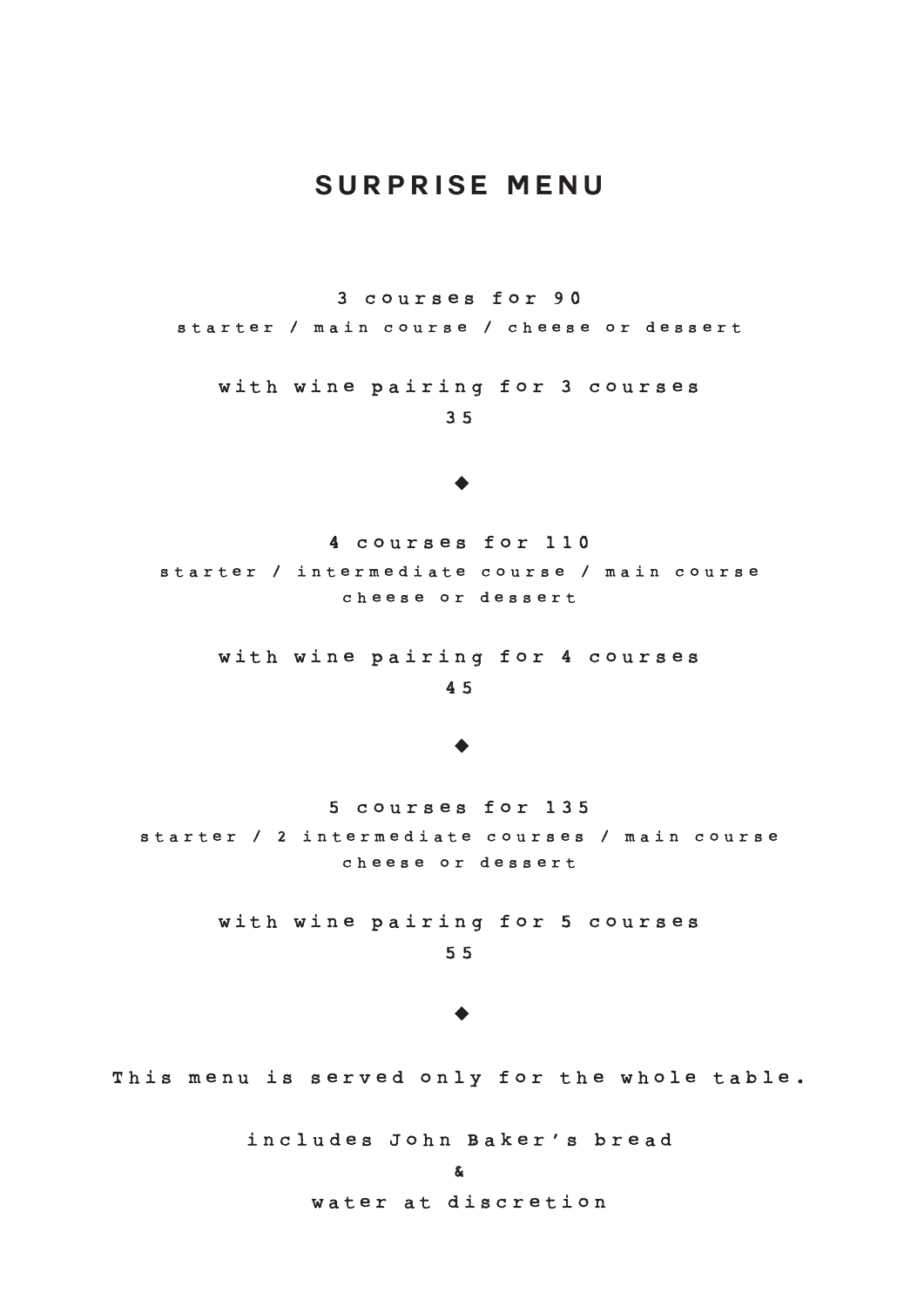# **Surprise menu**

3 courses for 9 0

starter / main course / cheese or dessert

with wine pairing for 3 courses

3 5

#### $\blacktriangleright$

4 courses for 1 1 0 starter / intermediate course / main course cheese or dessert

with wine pairing for 4 courses

4 5

#### $\blacklozenge$

5 courses for 1 3 5 starter / 2 intermediate courses / main course cheese or dessert

> with wine pairing for 5 courses 5 5

#### $\ddot{\bullet}$

This menu is served only for the whole table.

includes John Baker's bread

water at discretion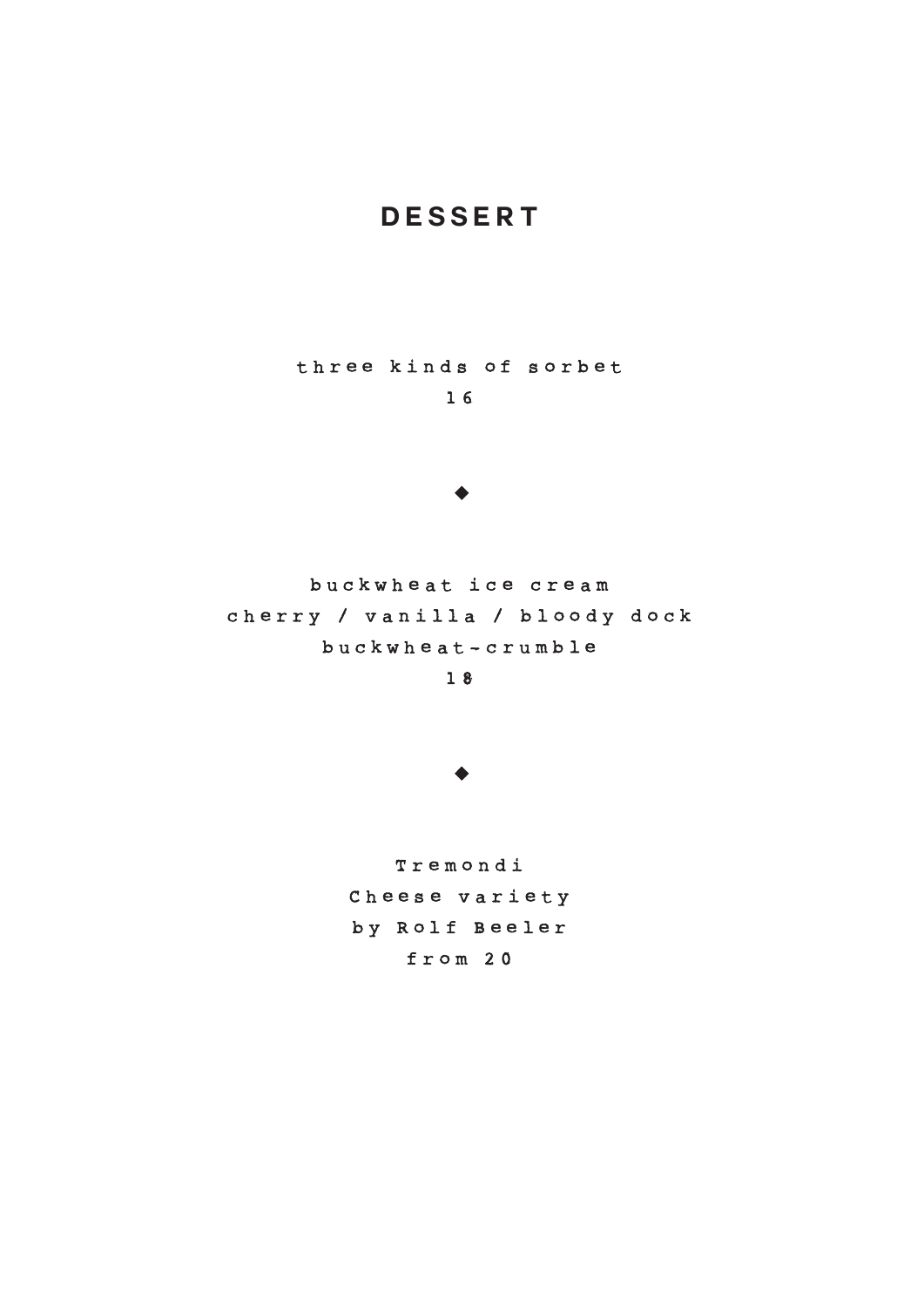# **dessert**

three kinds of sorbet

1 6

#### $\blacktriangleright$

buckwheat ice cream cherry / vanilla / bloody dock b u c k wheat - crumble

1 8

 $\blacktriangleright$ 

Tremondi Cheese variety b y Rolf Beeler from 2 0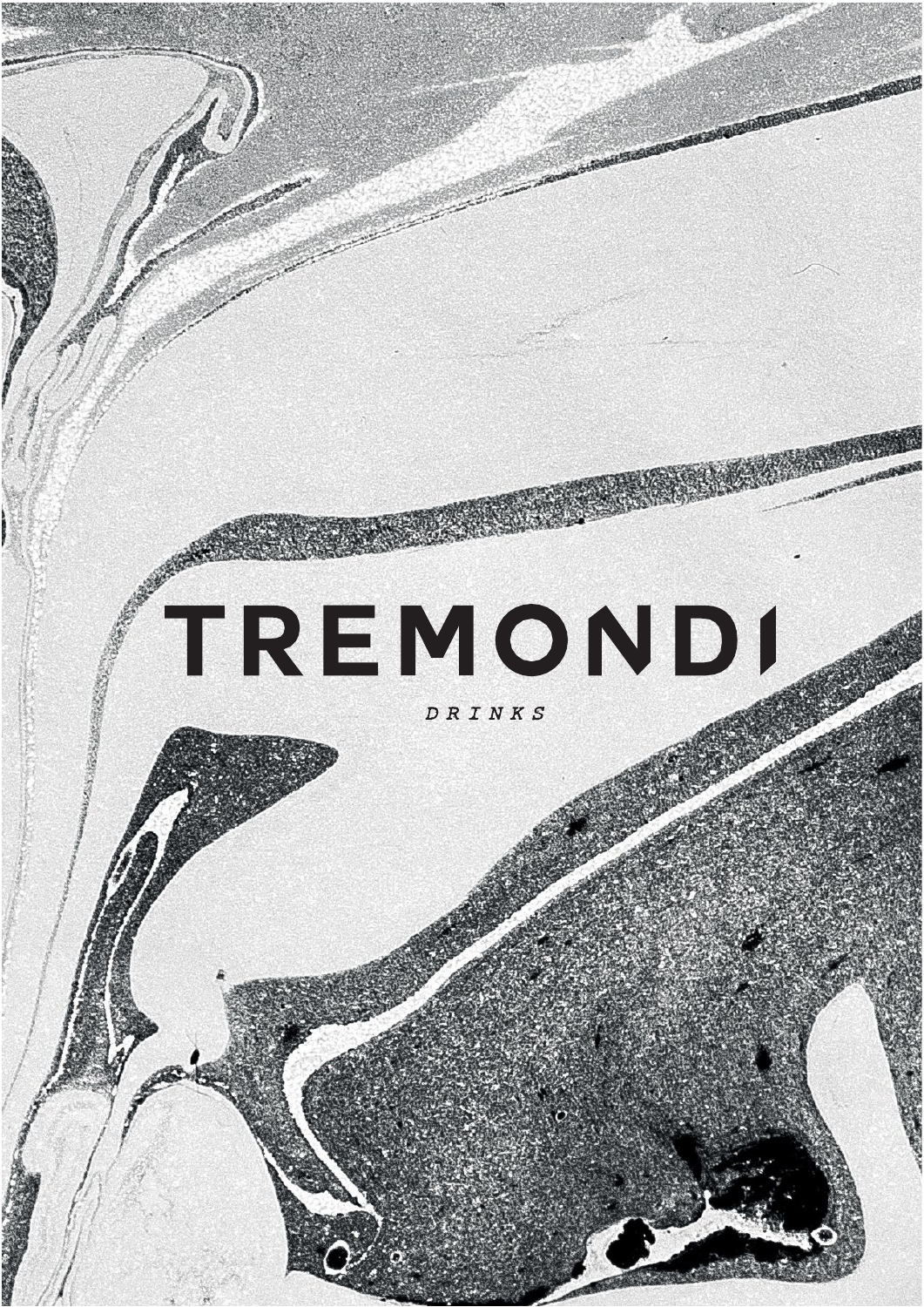# TREMOND1

DRINKS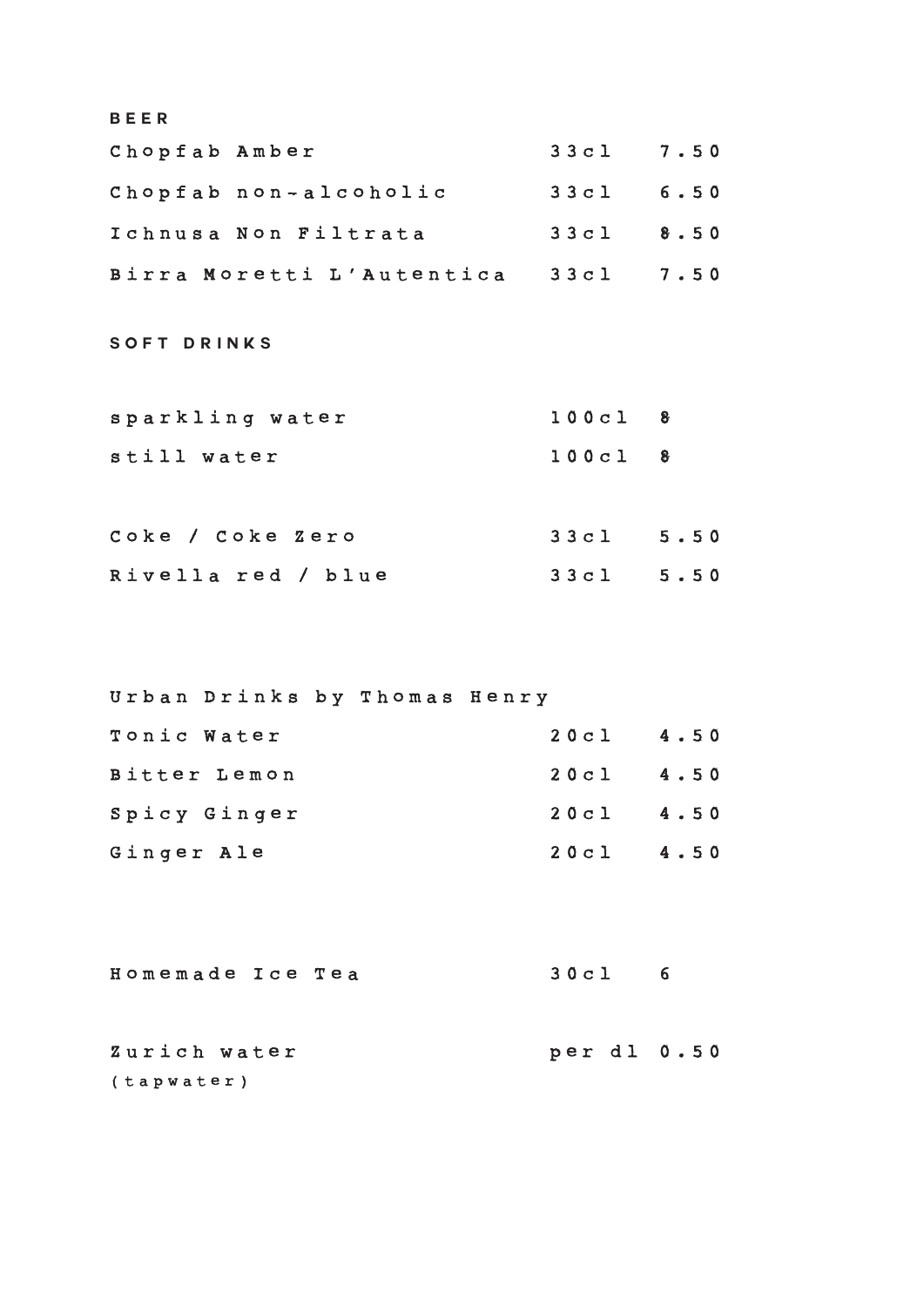| <b>BEER</b>                         |             |             |
|-------------------------------------|-------------|-------------|
| Chopfab Amber                       | 33c1 7.50   |             |
| Chopfab non-alcoholic               | $33c1$ 6.50 |             |
| Ichnusa Non Filtrata                | $33c1$ 8.50 |             |
| Birra Moretti L'Autentica 33cl 7.50 |             |             |
| <b>SOFT DRINKS</b>                  |             |             |
| sparkling water                     | $100c1$ 8   |             |
| still water                         | $100c1$ 8   |             |
|                                     |             |             |
| Coke / Coke Zero                    | 33c1 5.50   |             |
| Rivella red / blue                  | 33c1 5.50   |             |
|                                     |             |             |
| Urban Drinks by Thomas Henry        |             |             |
| Tonic Water                         | $20c1$ 4.50 |             |
| Bitter Lemon                        | $20c1$ 4.50 |             |
| Spicy Ginger                        | $20c1$ 4.50 |             |
| Ginger Ale                          | 20c1        | 4.50        |
|                                     |             |             |
| Homemade Ice Tea                    | 30c1        | $6^{\circ}$ |

Zurich water per dl 0.50 (tapwater)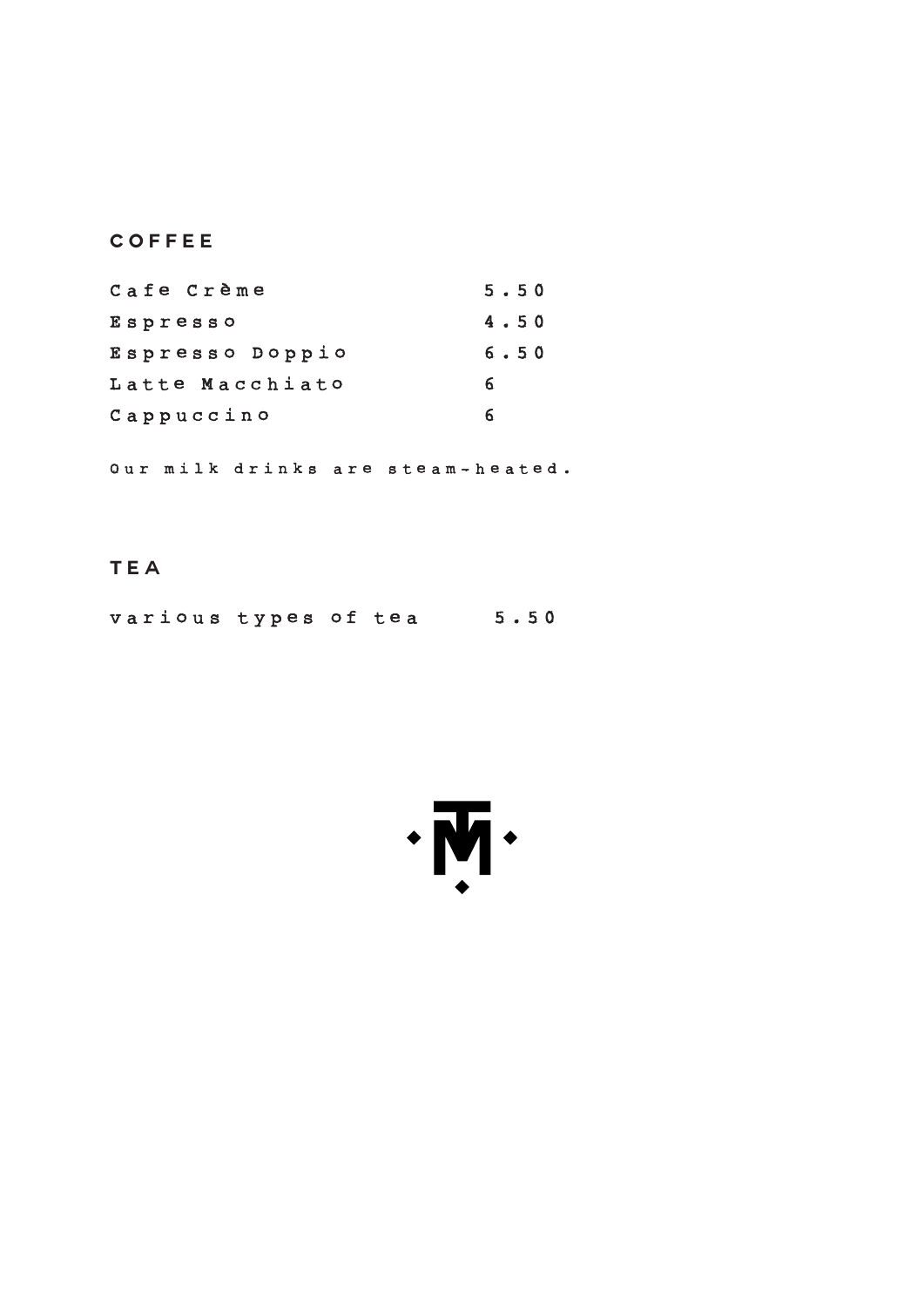**coffee**

| Cafe Crème      | 5.50 |
|-----------------|------|
| Espresso        | 4.50 |
| Espresso Doppio | 6.50 |
| Latte Macchiato | 6    |
| Cappuccino      |      |

Our milk drinks are steam - heated .

**tea**

various types of tea 5.50

 $\cdot \overline{M} \cdot$